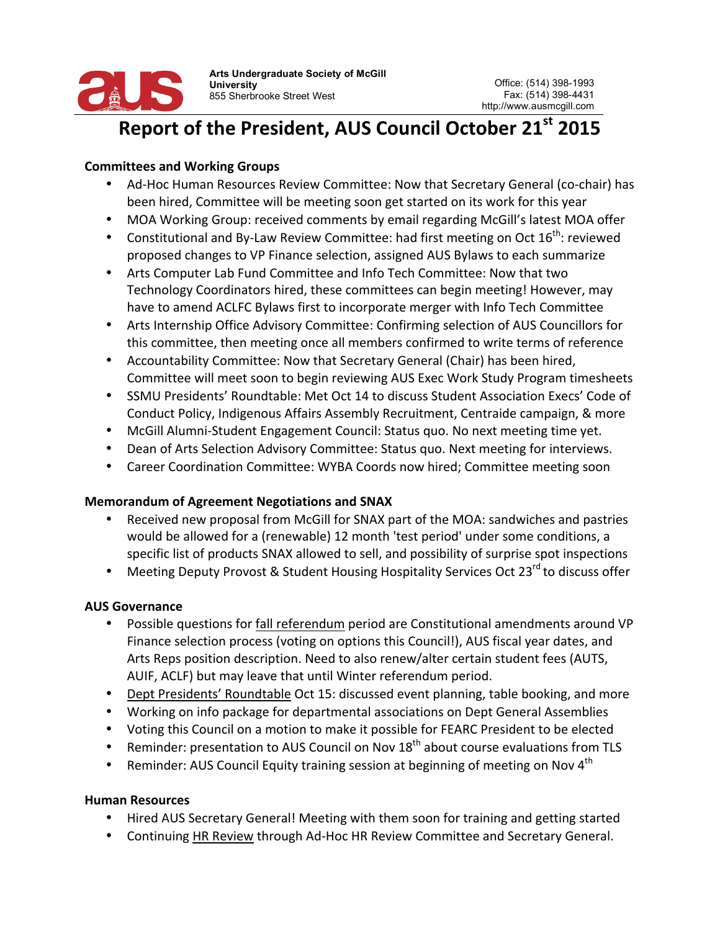

**Arts Undergraduate Society of McGill University** 855 Sherbrooke Street West

# **Report of the President, AUS Council October 21st 2015**

#### **Committees and Working Groups**

- Ad-Hoc Human Resources Review Committee: Now that Secretary General (co-chair) has been hired, Committee will be meeting soon get started on its work for this year
- MOA Working Group: received comments by email regarding McGill's latest MOA offer
- Constitutional and By-Law Review Committee: had first meeting on Oct  $16^{th}$ : reviewed proposed changes to VP Finance selection, assigned AUS Bylaws to each summarize
- Arts Computer Lab Fund Committee and Info Tech Committee: Now that two Technology Coordinators hired, these committees can begin meeting! However, may have to amend ACLFC Bylaws first to incorporate merger with Info Tech Committee
- Arts Internship Office Advisory Committee: Confirming selection of AUS Councillors for this committee, then meeting once all members confirmed to write terms of reference
- Accountability Committee: Now that Secretary General (Chair) has been hired, Committee will meet soon to begin reviewing AUS Exec Work Study Program timesheets
- SSMU Presidents' Roundtable: Met Oct 14 to discuss Student Association Execs' Code of Conduct Policy, Indigenous Affairs Assembly Recruitment, Centraide campaign, & more
- McGill Alumni-Student Engagement Council: Status quo. No next meeting time yet.
- Dean of Arts Selection Advisory Committee: Status quo. Next meeting for interviews.
- Career Coordination Committee: WYBA Coords now hired; Committee meeting soon

### **Memorandum of Agreement Negotiations and SNAX**

- Received new proposal from McGill for SNAX part of the MOA: sandwiches and pastries would be allowed for a (renewable) 12 month 'test period' under some conditions, a specific list of products SNAX allowed to sell, and possibility of surprise spot inspections
- Meeting Deputy Provost & Student Housing Hospitality Services Oct 23 $^{rd}$  to discuss offer

### **AUS Governance**

- Possible questions for fall referendum period are Constitutional amendments around VP Finance selection process (voting on options this Council!), AUS fiscal year dates, and Arts Reps position description. Need to also renew/alter certain student fees (AUTS, AUIF, ACLF) but may leave that until Winter referendum period.
- Dept Presidents' Roundtable Oct 15: discussed event planning, table booking, and more
- Working on info package for departmental associations on Dept General Assemblies
- Voting this Council on a motion to make it possible for FEARC President to be elected
- Reminder: presentation to AUS Council on Nov  $18<sup>th</sup>$  about course evaluations from TLS
- Reminder: AUS Council Equity training session at beginning of meeting on Nov  $4<sup>th</sup>$

#### **Human Resources**

- Hired AUS Secretary General! Meeting with them soon for training and getting started
- Continuing HR Review through Ad-Hoc HR Review Committee and Secretary General.